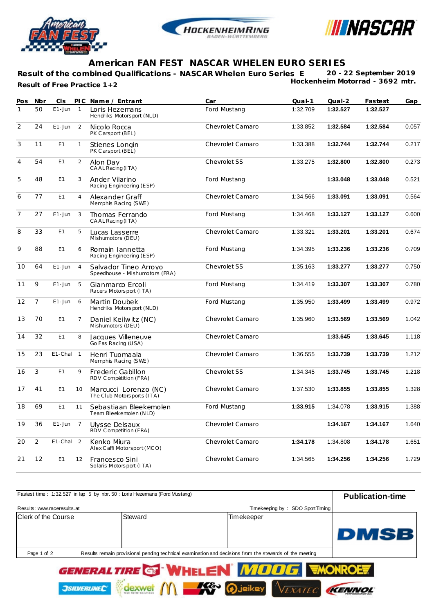





## **American FAN FEST NASCAR WHELEN EURO SERIES**

Result of the combined Qualifications - NASCAR Whelen Euro Series E 20 - 22 September 2019 **Hockenheim Motorrad - 3692 mtr. Result of Free Practice 1+2**

| Pos            | Nbr            | CIS            |                | PIC Name / Entrant                                      | Car              | $Qual-1$ | $Qual-2$ | Fastest  | Gap   |
|----------------|----------------|----------------|----------------|---------------------------------------------------------|------------------|----------|----------|----------|-------|
| $\mathbf{1}$   | 50             | $E1 - Jun$     | $\overline{1}$ | Loris Hezemans<br>Hendriks Motorsport (NLD)             | Ford Mustang     | 1:32.709 | 1:32.527 | 1:32.527 |       |
| $\overline{2}$ | 24             | $E1 - Jun$     | 2              | Nicolo Rocca<br>PK Carsport (BEL)                       | Chevrolet Camaro | 1:33.852 | 1:32.584 | 1:32.584 | 0.057 |
| 3              | 11             | E1             | $\mathbf{1}$   | Stienes Longin<br>PK Carsport (BEL)                     | Chevrolet Camaro | 1:33.388 | 1:32.744 | 1:32.744 | 0.217 |
| $\overline{4}$ | 54             | E1             | 2              | Alon Day<br>CAAL Racing (ITA)                           | Chevrolet SS     | 1:33.275 | 1:32.800 | 1:32.800 | 0.273 |
| 5              | 48             | E1             | 3              | Ander Vilarino<br>Racing Engineering (ESP)              | Ford Mustang     |          | 1:33.048 | 1:33.048 | 0.521 |
| 6              | 77             | E1             | $\overline{4}$ | Alexander Graff<br>Memphis Racing (SWE)                 | Chevrolet Camaro | 1:34.566 | 1:33.091 | 1:33.091 | 0.564 |
| $\overline{7}$ | 27             | $E1 - Jun$     | 3              | Thomas Ferrando<br>CAAL Racing (ITA)                    | Ford Mustang     | 1:34.468 | 1:33.127 | 1:33.127 | 0.600 |
| 8              | 33             | E <sub>1</sub> | 5              | Lucas Lasserre<br>Mishumotors (DEU)                     | Chevrolet Camaro | 1:33.321 | 1:33.201 | 1:33.201 | 0.674 |
| 9              | 88             | E1             | 6              | Romain Iannetta<br>Racing Engineering (ESP)             | Ford Mustang     | 1:34.395 | 1:33.236 | 1:33.236 | 0.709 |
| 10             | 64             | $E1 - Jun$     | $\overline{4}$ | Salvador Tineo Arrovo<br>Speedhouse - Mishumotors (FRA) | Chevrolet SS     | 1:35.163 | 1:33.277 | 1:33.277 | 0.750 |
| 11             | 9              | $E1 - Jun$     | 5              | Gianmarco Ercoli<br>Racers Motorsport (ITA)             | Ford Mustang     | 1:34.419 | 1:33.307 | 1:33.307 | 0.780 |
| 12             | $\overline{7}$ | $E1 - Jun$     | 6              | Martin Doubek<br>Hendriks Motorsport (NLD)              | Ford Mustang     | 1:35.950 | 1:33.499 | 1:33.499 | 0.972 |
| 13             | 70             | E1             | $\overline{7}$ | Daniel Keilwitz (NC)<br>Mishumotors (DEU)               | Chevrolet Camaro | 1:35.960 | 1:33.569 | 1:33.569 | 1.042 |
| 14             | 32             | E1             | 8              | Jacques Villeneuve<br>Go Fas Racing (USA)               | Chevrolet Camaro |          | 1:33.645 | 1:33.645 | 1.118 |
| 15             | 23             | E1-Chal        | $\mathbf{1}$   | Henri Tuomaala<br>Memphis Racing (SWE)                  | Chevrolet Camaro | 1:36.555 | 1:33.739 | 1:33.739 | 1.212 |
| 16             | 3              | E1             | 9              | Frederic Gabillon<br>RDV Compétition (FRA)              | Chevrolet SS     | 1:34.345 | 1:33.745 | 1:33.745 | 1.218 |
| 17             | 41             | E1             | 10             | Marcucci Lorenzo (NC)<br>The Club Motorsports (ITA)     | Chevrolet Camaro | 1:37.530 | 1:33.855 | 1:33.855 | 1.328 |
| 18             | 69             | E1             | 11             | Sebastiaan Bleekemolen<br>Team Bleekemolen (NLD)        | Ford Mustang     | 1:33.915 | 1:34.078 | 1:33.915 | 1.388 |
| 19             | 36             | $E1 - Jun$     | $\overline{7}$ | Ulysse Delsaux<br>RDV Competition (FRA)                 | Chevrolet Camaro |          | 1:34.167 | 1:34.167 | 1.640 |
| 20             | $\overline{2}$ | E1-Chal 2      |                | Kenko Miura<br>Alex Caffi Motorsport (MCO)              | Chevrolet Camaro | 1:34.178 | 1:34.808 | 1:34.178 | 1.651 |
| 21             | 12             | E1             | 12             | Francesco Sini<br>Solaris Motorsport (ITA)              | Chevrolet Camaro | 1:34.565 | 1:34.256 | 1:34.256 | 1.729 |

| Fastest time: 1:32.527 in lap 5 by nbr. 50 : Loris Hezemans (Ford Mustang) | <b>Publication-time</b>         |            |                                       |      |
|----------------------------------------------------------------------------|---------------------------------|------------|---------------------------------------|------|
| Results: www.raceresults.at                                                | Timekeeping by: SDO SportTiming |            |                                       |      |
| Clerk of the Course                                                        | Steward                         | Timekeeper |                                       |      |
|                                                                            |                                 |            |                                       | DMSB |
| Page 1 of 2                                                                |                                 |            |                                       |      |
|                                                                            |                                 |            | GENEDALTIDE GEWLEI EN MAARGE EMONROFE |      |

VEXATEC

KENNOL

dexwet M Se Djeikey

**JSILVERLINEC**